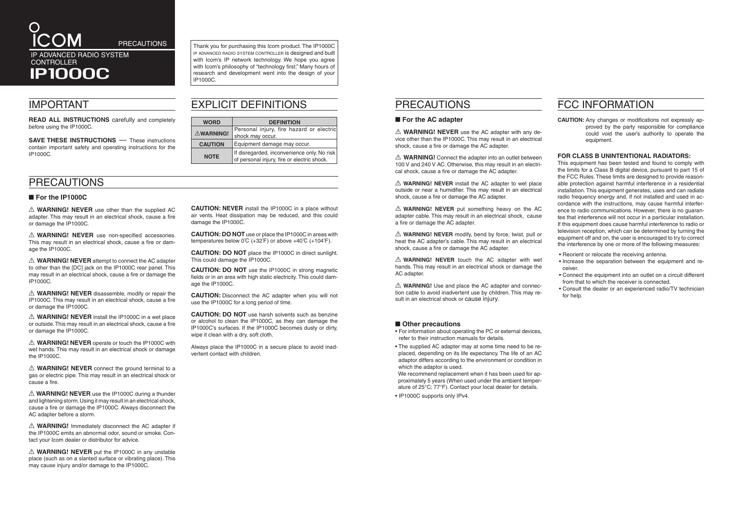### PRECAUTIONS

#### ■ For the AC adapter

 $\triangle$  **WARNING! NEVER** use the AC adapter with any device other than the IP1000C. This may result in an electrical shock, cause a fire or damage the AC adapter.

 $\triangle$  **WARNING!** Connect the adapter into an outlet between 100 V and 240 V AC. Otherwise, this may result in an electrical shock, cause a fire or damage the AC adapter.

 $\triangle$  **WARNING! NEVER** install the AC adapter to wet place outside or near a humidifier. This may result in an electrical shock, cause a fire or damage the AC adapter.

 $\triangle$  **WARNING!** NEVER put something heavy on the AC adapter cable. This may result in an electrical shock, cause a fire or damage the AC adapter.

A **WARNING! NEVER** modify, bend by force, twist, pull or heat the AC adapter's cable. This may result in an electrical shock, cause a fire or damage the AC adapter.

 $\triangle$  **WARNING! NEVER** touch the AC adapter with wet hands. This may result in an electrical shock or damage the AC adapter.

 $\triangle$  **WARNING!** Use and place the AC adapter and connection cable to avoid inadvertent use by children. This may result in an electrical shock or cause injury.

#### ■ Other precautions

We recommend replacement when it has been used for approximately 5 years (When used under the ambient temperature of 25°C; 77°F). Contact your local dealer for details.

• For information about operating the PC or external devices, refer to their instruction manuals for details.

• The supplied AC adapter may at some time need to be replaced, depending on its life expectancy. The life of an AC adaptor differs according to the environment or condition in which the adaptor is used.

 $\triangle$  **WARNING! NEVER** use other than the supplied AC adapter. This may result in an electrical shock, cause a fire or damage the IP1000C.

A **WARNING! NEVER** use non-specified accessories. This may result in an electrical shock, cause a fire or damage the IP1000C.

• IP1000C supports only IPv4.

# FCC INFORMATION

 $\triangle$  **WARNING! NEVER** attempt to connect the AC adapter to other than the [DC] jack on the IP1000C rear panel. This may result in an electrical shock, cause a fire or damage the IP1000C.

**CAUTION:** Any changes or modifications not expressly approved by the party responsible for compliance could void the user's authority to operate the equipment.

 $\triangle$  **WARNING! NEVER** disassemble, modify or repair the IP1000C. This may result in an electrical shock, cause a fire or damage the IP1000C.

#### **FOR CLASS B UNINTENTIONAL RADIATORS:**

 $\triangle$  **WARNING! NEVER** install the IP1000C in a wet place or outside. This may result in an electrical shock, cause a fire or damage the IP1000C.

A **WARNING! NEVER** operate or touch the IP1000C with wet hands. This may result in an electrical shock or damage the IP1000C.

A **WARNING! NEVER** connect the ground terminal to a gas or electric pipe. This may result in an electrical shock or cause a fire.

 $\triangle$  **WARNING!** Immediately disconnect the AC adapter if the IP1000C emits an abnormal odor, sound or smoke. Contact your Icom dealer or distributor for advice.

 $\triangle$  **WARNING! NEVER** put the IP1000C in any unstable place (such as on a slanted surface or vibrating place). This may cause injury and/or damage to the IP1000C.

This equipment has been tested and found to comply with the limits for a Class B digital device, pursuant to part 15 of the FCC Rules. These limits are designed to provide reasonable protection against harmful interference in a residential installation. This equipment generates, uses and can radiate radio frequency energy and, if not installed and used in accordance with the instructions, may cause harmful interference to radio communications. However, there is no guarantee that interference will not occur in a particular installation. If this equipment does cause harmful interference to radio or television reception, which can be determined by turning the equipment off and on, the user is encouraged to try to correct the interference by one or more of the following measures:

**CAUTION: DO NOT** use or place the IP1000C in areas with temperatures below  $0^{\circ}C$  (+32 $^{\circ}F$ ) or above +40 $^{\circ}C$  (+104 $^{\circ}F$ ).

- Reorient or relocate the receiving antenna.
- Increase the separation between the equipment and receiver.
- Connect the equipment into an outlet on a circuit different from that to which the receiver is connected.
- Consult the dealer or an experienced radio/TV technician for help.

**PRECAUTIONS** Thank you for purchasing this Icom product. The IP1000C ip advanced radio system controller is designed and built with Icom's IP network technology. We hope you agree with Icom's philosophy of "technology first." Many hours of research and development went into the design of your IP1000C.

**READ ALL INSTRUCTIONS** carefully and completely before using the IP1000C.

**SAVE THESE INSTRUCTIONS** — These instructions contain important safety and operating instructions for the IP1000C.

**CONTROLLER** IP1000C

R **WARNING! NEVER** use the IP1000C during a thunder and lightening storm. Using it may result in an electrical shock, cause a fire or damage the IP1000C. Always disconnect the AC adapter before a storm.

**CAUTION: NEVER** install the IP1000C in a place without air vents. Heat dissipation may be reduced, and this could damage the IP1000C.

**CAUTION: DO NOT** place the IP1000C in direct sunlight. This could damage the IP1000C.

**CAUTION: DO NOT** use the IP1000C in strong magnetic fields or in an area with high static electricity. This could damage the IP1000C.

**CAUTION:** Disconnect the AC adapter when you will not use the IP1000C for a long period of time.

**CAUTION: DO NOT** use harsh solvents such as benzine or alcohol to clean the IP1000C, as they can damage the IP1000C's surfaces. If the IP1000C becomes dusty or dirty, wipe it clean with a dry, soft cloth.

Always place the IP1000C in a secure place to avoid inadvertent contact with children.

### PRECAUTIONS

#### ■ For the IP1000C

## IMPORTANT

## EXPLICIT DEFINITIONS

| <b>WORD</b>    | <b>DEFINITION</b>                                                                          |
|----------------|--------------------------------------------------------------------------------------------|
| △WARNING!      | Personal injury, fire hazard or electric<br>shock may occur.                               |
| <b>CAUTION</b> | Equipment damage may occur.                                                                |
| <b>NOTE</b>    | If disregarded, inconvenience only. No risk<br>of personal injury, fire or electric shock. |